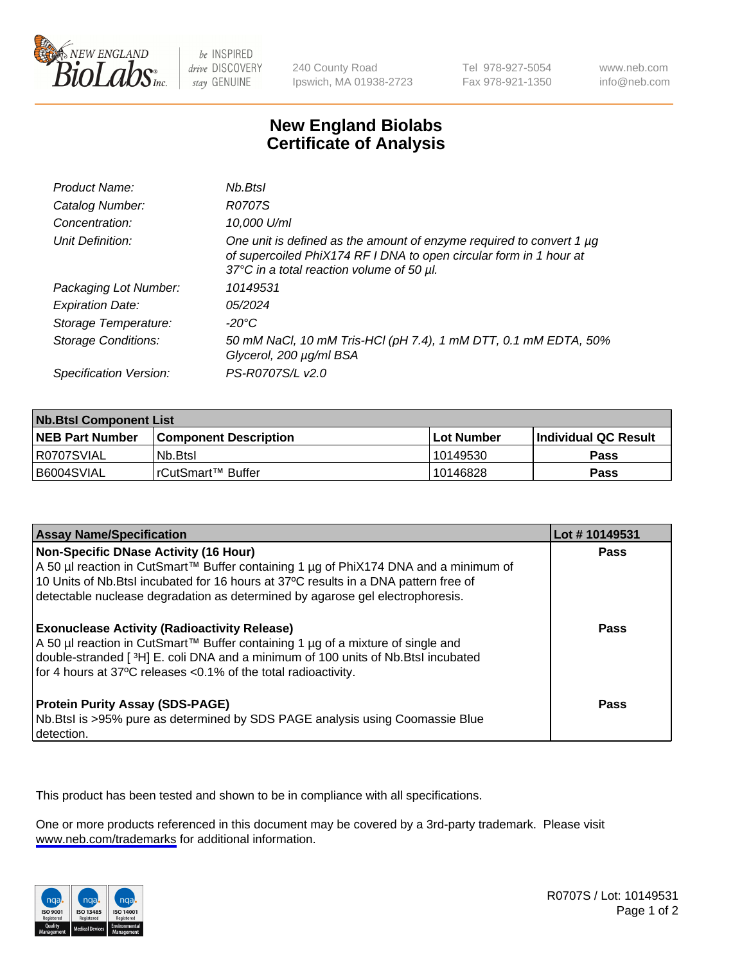

be INSPIRED drive DISCOVERY stay GENUINE

240 County Road Ipswich, MA 01938-2723 Tel 978-927-5054 Fax 978-921-1350

www.neb.com info@neb.com

## **New England Biolabs Certificate of Analysis**

| Product Name:              | Nb.Btsl                                                                                                                                                                                      |
|----------------------------|----------------------------------------------------------------------------------------------------------------------------------------------------------------------------------------------|
| Catalog Number:            | <b>R0707S</b>                                                                                                                                                                                |
| Concentration:             | 10,000 U/ml                                                                                                                                                                                  |
| Unit Definition:           | One unit is defined as the amount of enzyme required to convert 1 $\mu$ g<br>of supercoiled PhiX174 RF I DNA to open circular form in 1 hour at<br>37°C in a total reaction volume of 50 µl. |
| Packaging Lot Number:      | 10149531                                                                                                                                                                                     |
| <b>Expiration Date:</b>    | 05/2024                                                                                                                                                                                      |
| Storage Temperature:       | -20°C                                                                                                                                                                                        |
| <b>Storage Conditions:</b> | 50 mM NaCl, 10 mM Tris-HCl (pH 7.4), 1 mM DTT, 0.1 mM EDTA, 50%<br>Glycerol, 200 µg/ml BSA                                                                                                   |
| Specification Version:     | PS-R0707S/L v2.0                                                                                                                                                                             |

| <b>Nb.Btsl Component List</b> |                         |             |                       |  |
|-------------------------------|-------------------------|-------------|-----------------------|--|
| <b>NEB Part Number</b>        | l Component Description | ⊺Lot Number | ∣Individual QC Result |  |
| I R0707SVIAL                  | Nb.Btsl                 | 10149530    | <b>Pass</b>           |  |
| B6004SVIAL                    | l rCutSmart™ Buffer_    | 10146828    | <b>Pass</b>           |  |

| <b>Assay Name/Specification</b>                                                                                                                                                                                                                                                                               | Lot #10149531 |
|---------------------------------------------------------------------------------------------------------------------------------------------------------------------------------------------------------------------------------------------------------------------------------------------------------------|---------------|
| <b>Non-Specific DNase Activity (16 Hour)</b><br>A 50 µl reaction in CutSmart™ Buffer containing 1 µg of PhiX174 DNA and a minimum of<br>10 Units of Nb. Btsl incubated for 16 hours at 37°C results in a DNA pattern free of<br>detectable nuclease degradation as determined by agarose gel electrophoresis. | <b>Pass</b>   |
| <b>Exonuclease Activity (Radioactivity Release)</b><br>A 50 µl reaction in CutSmart™ Buffer containing 1 µg of a mixture of single and<br>double-stranded [3H] E. coli DNA and a minimum of 100 units of Nb. Btsl incubated<br>for 4 hours at 37°C releases <0.1% of the total radioactivity.                 | Pass          |
| <b>Protein Purity Assay (SDS-PAGE)</b><br>Nb.Btsl is >95% pure as determined by SDS PAGE analysis using Coomassie Blue<br>detection.                                                                                                                                                                          | Pass          |

This product has been tested and shown to be in compliance with all specifications.

One or more products referenced in this document may be covered by a 3rd-party trademark. Please visit <www.neb.com/trademarks>for additional information.